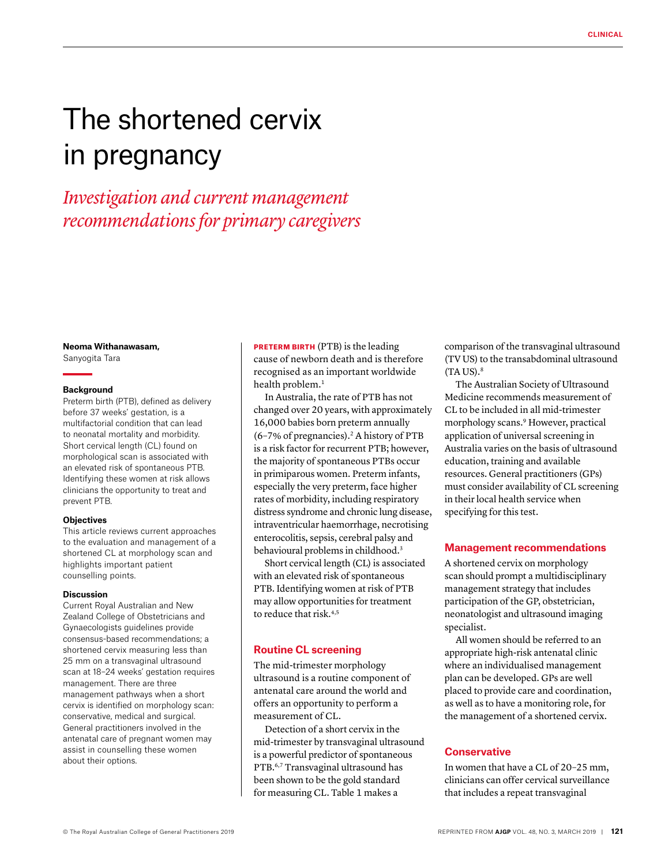# The shortened cervix in pregnancy

*Investigation and current management recommendations for primary caregivers*

## **Neoma Withanawasam,**

Sanyogita Tara

#### **Background**

Preterm birth (PTB), defined as delivery before 37 weeks' gestation, is a multifactorial condition that can lead to neonatal mortality and morbidity. Short cervical length (CL) found on morphological scan is associated with an elevated risk of spontaneous PTB. Identifying these women at risk allows clinicians the opportunity to treat and prevent PTB.

## **Objectives**

This article reviews current approaches to the evaluation and management of a shortened CL at morphology scan and highlights important patient counselling points.

## **Discussion**

Current Royal Australian and New Zealand College of Obstetricians and Gynaecologists guidelines provide consensus-based recommendations; a shortened cervix measuring less than 25 mm on a transvaginal ultrasound scan at 18–24 weeks' gestation requires management. There are three management pathways when a short cervix is identified on morphology scan: conservative, medical and surgical. General practitioners involved in the antenatal care of pregnant women may assist in counselling these women about their options.

PRETERM BIRTH (PTB) is the leading cause of newborn death and is therefore recognised as an important worldwide health problem.<sup>1</sup>

In Australia, the rate of PTB has not changed over 20 years, with approximately 16,000 babies born preterm annually  $(6-7%$  of pregnancies).<sup>2</sup> A history of PTB is a risk factor for recurrent PTB; however, the majority of spontaneous PTBs occur in primiparous women. Preterm infants, especially the very preterm, face higher rates of morbidity, including respiratory distress syndrome and chronic lung disease, intraventricular haemorrhage, necrotising enterocolitis, sepsis, cerebral palsy and behavioural problems in childhood.<sup>3</sup>

Short cervical length (CL) is associated with an elevated risk of spontaneous PTB. Identifying women at risk of PTB may allow opportunities for treatment to reduce that risk.4,5

## **Routine CL screening**

The mid-trimester morphology ultrasound is a routine component of antenatal care around the world and offers an opportunity to perform a measurement of CL.

Detection of a short cervix in the mid-trimester by transvaginal ultrasound is a powerful predictor of spontaneous PTB.6,7 Transvaginal ultrasound has been shown to be the gold standard for measuring CL. Table 1 makes a

comparison of the transvaginal ultrasound (TV US) to the transabdominal ultrasound  $(TA US).<sup>8</sup>$ 

The Australian Society of Ultrasound Medicine recommends measurement of CL to be included in all mid-trimester morphology scans.9 However, practical application of universal screening in Australia varies on the basis of ultrasound education, training and available resources. General practitioners (GPs) must consider availability of CL screening in their local health service when specifying for this test.

## **Management recommendations**

A shortened cervix on morphology scan should prompt a multidisciplinary management strategy that includes participation of the GP, obstetrician, neonatologist and ultrasound imaging specialist.

All women should be referred to an appropriate high-risk antenatal clinic where an individualised management plan can be developed. GPs are well placed to provide care and coordination, as well as to have a monitoring role, for the management of a shortened cervix.

## **Conservative**

In women that have a CL of 20–25 mm, clinicians can offer cervical surveillance that includes a repeat transvaginal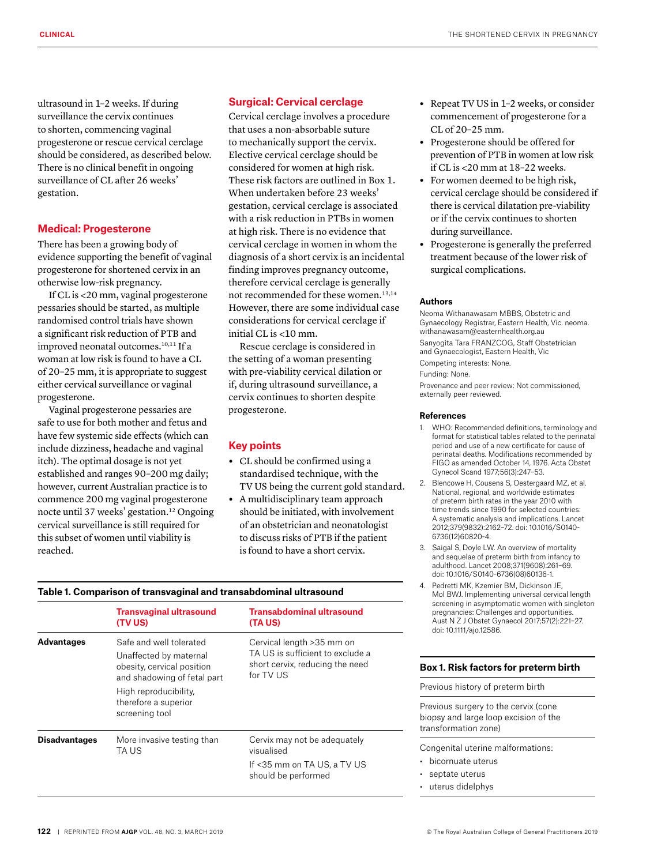ultrasound in 1–2 weeks. If during surveillance the cervix continues to shorten, commencing vaginal progesterone or rescue cervical cerclage should be considered, as described below. There is no clinical benefit in ongoing surveillance of CL after 26 weeks' gestation.

# **Medical: Progesterone**

There has been a growing body of evidence supporting the benefit of vaginal progesterone for shortened cervix in an otherwise low-risk pregnancy.

If CL is <20 mm, vaginal progesterone pessaries should be started, as multiple randomised control trials have shown a significant risk reduction of PTB and improved neonatal outcomes.<sup>10,11</sup> If a woman at low risk is found to have a CL of 20–25 mm, it is appropriate to suggest either cervical surveillance or vaginal progesterone.

Vaginal progesterone pessaries are safe to use for both mother and fetus and have few systemic side effects (which can include dizziness, headache and vaginal itch). The optimal dosage is not yet established and ranges 90–200 mg daily; however, current Australian practice is to commence 200 mg vaginal progesterone nocte until 37 weeks' gestation.<sup>12</sup> Ongoing cervical surveillance is still required for this subset of women until viability is reached.

## **Surgical: Cervical cerclage**

Cervical cerclage involves a procedure that uses a non-absorbable suture to mechanically support the cervix. Elective cervical cerclage should be considered for women at high risk. These risk factors are outlined in Box 1. When undertaken before 23 weeks' gestation, cervical cerclage is associated with a risk reduction in PTBs in women at high risk. There is no evidence that cervical cerclage in women in whom the diagnosis of a short cervix is an incidental finding improves pregnancy outcome, therefore cervical cerclage is generally not recommended for these women.13,14 However, there are some individual case considerations for cervical cerclage if initial CL is <10 mm.

Rescue cerclage is considered in the setting of a woman presenting with pre-viability cervical dilation or if, during ultrasound surveillance, a cervix continues to shorten despite progesterone.

# **Key points**

- **•** CL should be confirmed using a standardised technique, with the TV US being the current gold standard.
- **•** A multidisciplinary team approach should be initiated, with involvement of an obstetrician and neonatologist to discuss risks of PTB if the patient is found to have a short cervix.

## **Table 1. Comparison of transvaginal and transabdominal ultrasound**

|                      | <b>Transvaginal ultrasound</b><br><b>(TV US)</b>                                                                                                                                  | Transabdominal ultrasound<br>(TA US)                                                                          |
|----------------------|-----------------------------------------------------------------------------------------------------------------------------------------------------------------------------------|---------------------------------------------------------------------------------------------------------------|
| <b>Advantages</b>    | Safe and well tolerated<br>Unaffected by maternal<br>obesity, cervical position<br>and shadowing of fetal part<br>High reproducibility,<br>therefore a superior<br>screening tool | Cervical length >35 mm on<br>TA US is sufficient to exclude a<br>short cervix, reducing the need<br>for TV US |
| <b>Disadvantages</b> | More invasive testing than<br>TA US                                                                                                                                               | Cervix may not be adequately<br>visualised<br>If <35 mm on TA US, a TV US<br>should be performed              |

## **•** Repeat TV US in 1–2 weeks, or consider commencement of progesterone for a CL of 20–25 mm.

- **•** Progesterone should be offered for prevention of PTB in women at low risk if CL is <20 mm at 18–22 weeks.
- **•** For women deemed to be high risk, cervical cerclage should be considered if there is cervical dilatation pre-viability or if the cervix continues to shorten during surveillance.
- **•** Progesterone is generally the preferred treatment because of the lower risk of surgical complications.

## **Authors**

Neoma Withanawasam MBBS, Obstetric and Gynaecology Registrar, Eastern Health, Vic. [neoma.](mailto:neoma.withanawasam@easternhealth.org.au) [withanawasam@easternhealth.org.au](mailto:neoma.withanawasam@easternhealth.org.au) Sanyogita Tara FRANZCOG, Staff Obstetrician and Gynaecologist, Eastern Health, Vic Competing interests: None. Funding: None. Provenance and peer review: Not commissioned,

externally peer reviewed.

## **References**

- 1. WHO: Recommended definitions, terminology and format for statistical tables related to the perinatal period and use of a new certificate for cause of perinatal deaths. Modifications recommended by FIGO as amended October 14, 1976. Acta Obstet Gynecol Scand 1977;56(3):247–53.
- 2. Blencowe H, Cousens S, Oestergaard MZ, et al. National, regional, and worldwide estimates of preterm birth rates in the year 2010 with time trends since 1990 for selected countries: A systematic analysis and implications. Lancet 2012;379(9832):2162–72. doi: 10.1016/S0140- 6736(12)60820-4.
- 3. Saigal S, Doyle LW. An overview of mortality and sequelae of preterm birth from infancy to adulthood. Lancet 2008;371(9608):261–69. doi: 10.1016/S0140-6736(08)60136-1.
- 4. Pedretti MK, Kzemier BM, Dickinson JE, Mol BWJ. Implementing universal cervical length screening in asymptomatic women with singleton pregnancies: Challenges and opportunities. Aust N Z J Obstet Gynaecol 2017;57(2):221–27. doi: 10.1111/ajo.12586.

## **Box 1. Risk factors for preterm birth**

Previous history of preterm birth

Previous surgery to the cervix (cone biopsy and large loop excision of the transformation zone)

Congenital uterine malformations:

- bicornuate uterus
- septate uterus
- uterus didelphys